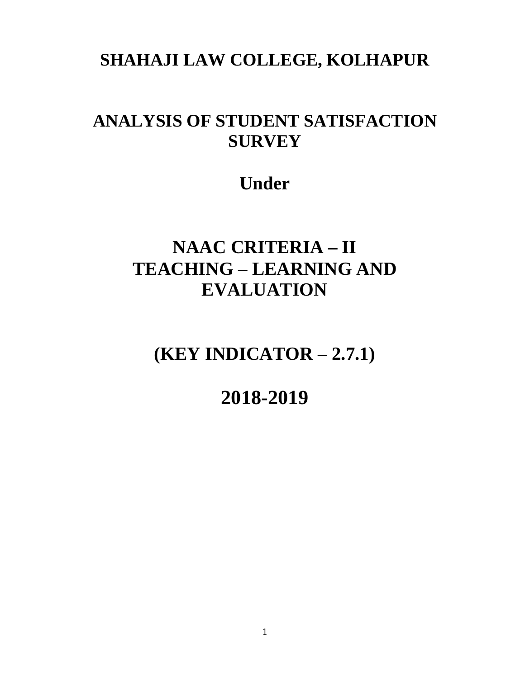### **SHAHAJI LAW COLLEGE, KOLHAPUR**

### **ANALYSIS OF STUDENT SATISFACTION SURVEY**

## **Under**

# **NAAC CRITERIA – II TEACHING – LEARNING AND EVALUATION**

**(KEY INDICATOR – 2.7.1)**

**2018-2019**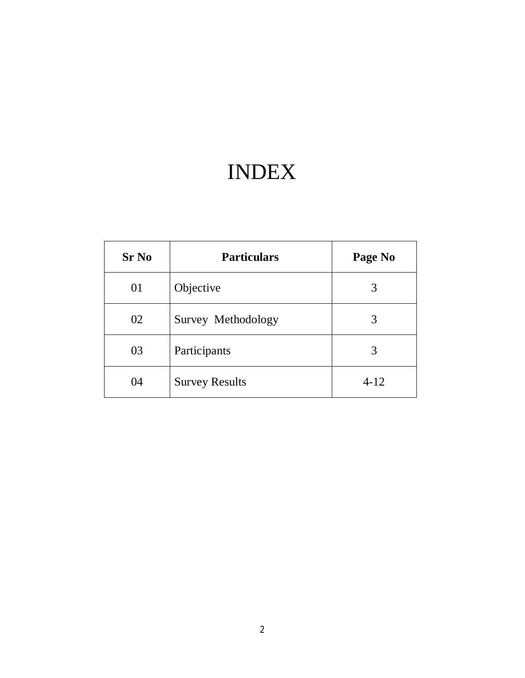# INDEX

| <b>Sr No</b> | <b>Particulars</b>    | Page No |
|--------------|-----------------------|---------|
| 01           | Objective             | 3       |
| 02           | Survey Methodology    | 3       |
| 03           | Participants          | 3       |
| 04           | <b>Survey Results</b> | $4-12$  |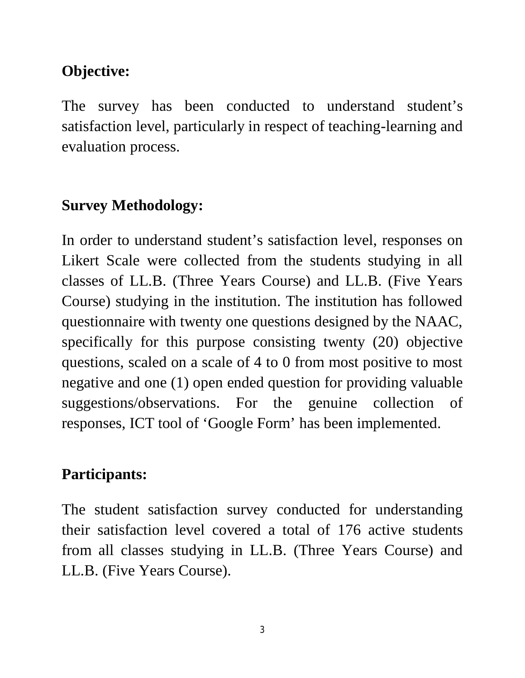#### **Objective:**

The survey has been conducted to understand student's satisfaction level, particularly in respect of teaching-learning and evaluation process.

#### **Survey Methodology:**

In order to understand student's satisfaction level, responses on Likert Scale were collected from the students studying in all classes of LL.B. (Three Years Course) and LL.B. (Five Years Course) studying in the institution. The institution has followed questionnaire with twenty one questions designed by the NAAC, specifically for this purpose consisting twenty (20) objective questions, scaled on a scale of 4 to 0 from most positive to most negative and one (1) open ended question for providing valuable suggestions/observations. For the genuine collection of responses, ICT tool of 'Google Form' has been implemented.

#### **Participants:**

The student satisfaction survey conducted for understanding their satisfaction level covered a total of 176 active students from all classes studying in LL.B. (Three Years Course) and LL.B. (Five Years Course).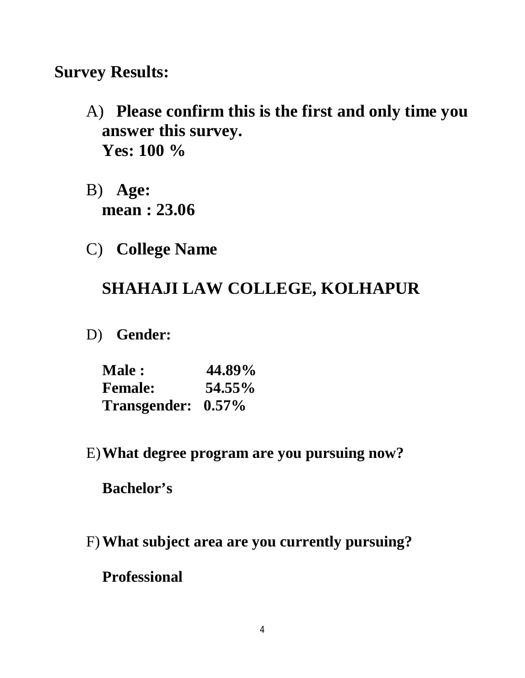#### **Survey Results:**

- A) **Please confirm this is the first and only time you answer this survey. Yes: 100 %**
- B) **Age: mean : 23.06**
- C) **College Name**

### **SHAHAJI LAW COLLEGE, KOLHAPUR**

D) **Gender:**

| <b>Male:</b>       | 44.89% |
|--------------------|--------|
| <b>Female:</b>     | 54.55% |
| Transgender: 0.57% |        |

E)**What degree program are you pursuing now?** 

**Bachelor's**

F)**What subject area are you currently pursuing?** 

**Professional**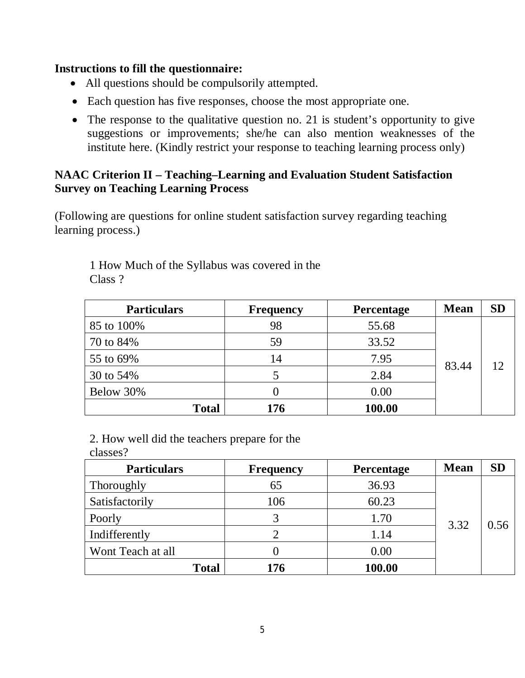#### **Instructions to fill the questionnaire:**

- All questions should be compulsorily attempted.
- Each question has five responses, choose the most appropriate one.
- The response to the qualitative question no. 21 is student's opportunity to give suggestions or improvements; she/he can also mention weaknesses of the institute here. (Kindly restrict your response to teaching learning process only)

#### **NAAC Criterion II – Teaching–Learning and Evaluation Student Satisfaction Survey on Teaching Learning Process**

(Following are questions for online student satisfaction survey regarding teaching learning process.)

| <b>Particulars</b> | <b>Frequency</b> | <b>Percentage</b> | <b>Mean</b> | <b>SD</b> |
|--------------------|------------------|-------------------|-------------|-----------|
| 85 to 100\%        | 98               | 55.68             |             |           |
| 70 to 84%          | 59               | 33.52             |             | 12        |
| 55 to 69%          | 14               | 7.95              | 83.44       |           |
| 30 to 54%          |                  | 2.84              |             |           |
| Below 30%          |                  | 0.00              |             |           |
| <b>Total</b>       | 176              | 100.00            |             |           |

1 How Much of the Syllabus was covered in the Class ?

2. How well did the teachers prepare for the

classes?

| <b>Particulars</b> | <b>Frequency</b> | <b>Percentage</b> | <b>Mean</b> | <b>SD</b> |
|--------------------|------------------|-------------------|-------------|-----------|
| Thoroughly         | 65               | 36.93             | 3.32        |           |
| Satisfactorily     | 106              | 60.23             |             |           |
| Poorly             |                  | 1.70              |             | 0.56      |
| Indifferently      |                  | 1.14              |             |           |
| Wont Teach at all  |                  | 0.00              |             |           |
| <b>Total</b>       | 176              | 100.00            |             |           |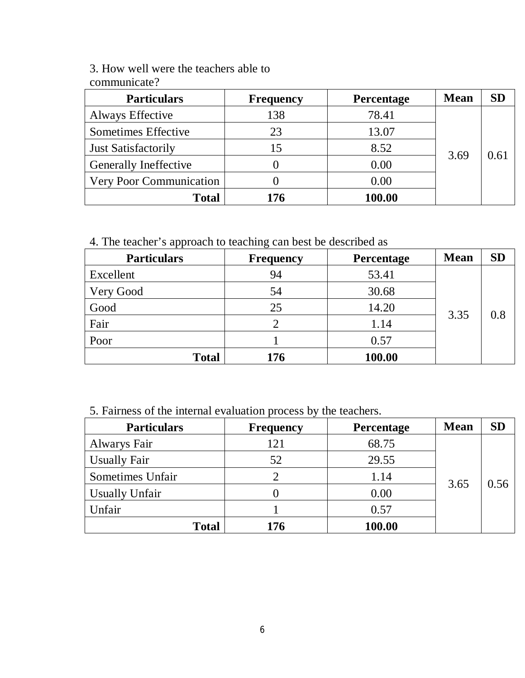3. How well were the teachers able to communicate?

| $\ddotsc$                    |                  |                   |             |      |
|------------------------------|------------------|-------------------|-------------|------|
| <b>Particulars</b>           | <b>Frequency</b> | <b>Percentage</b> | <b>Mean</b> | SD   |
| Always Effective             | 138              | 78.41             | 3.69        |      |
| Sometimes Effective          | 23               | 13.07             |             |      |
| Just Satisfactorily          | 15               | 8.52              |             | 0.61 |
| <b>Generally Ineffective</b> |                  | 0.00              |             |      |
| Very Poor Communication      |                  | 0.00              |             |      |
| <b>Total</b>                 | 176              | 100.00            |             |      |

4. The teacher's approach to teaching can best be described as

| <b>Particulars</b> | <b>Frequency</b> | Percentage | <b>Mean</b> | <b>SD</b> |
|--------------------|------------------|------------|-------------|-----------|
| Excellent          | 94               | 53.41      |             |           |
| Very Good          | 54               | 30.68      | 3.35        | 0.8       |
| Good               | 25               | 14.20      |             |           |
| Fair               |                  | 1.14       |             |           |
| Poor               |                  | 0.57       |             |           |
| <b>Total</b>       | 176              | 100.00     |             |           |

5. Fairness of the internal evaluation process by the teachers.

| <b>Particulars</b>    | <b>Frequency</b> | <b>Percentage</b> | <b>Mean</b> | <b>SD</b> |
|-----------------------|------------------|-------------------|-------------|-----------|
| Alwarys Fair          | 121              | 68.75             |             |           |
| <b>Usually Fair</b>   | 52               | 29.55             | 3.65        | 0.56      |
| Sometimes Unfair      |                  | 1.14              |             |           |
| <b>Usually Unfair</b> |                  | 0.00              |             |           |
| Unfair                |                  | 0.57              |             |           |
| <b>Total</b>          | 176              | 100.00            |             |           |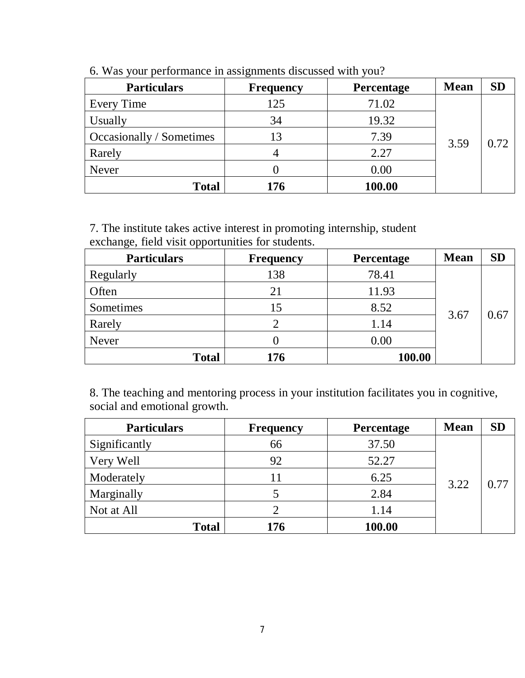| <b>Particulars</b>       | <b>Frequency</b> | Percentage | <b>Mean</b> | <b>SD</b> |
|--------------------------|------------------|------------|-------------|-----------|
| Every Time               | 125              | 71.02      | 3.59        |           |
| Usually                  | 34               | 19.32      |             | 0.72      |
| Occasionally / Sometimes |                  | 7.39       |             |           |
| Rarely                   |                  | 2.27       |             |           |
| Never                    |                  | 0.00       |             |           |
| <b>Total</b>             | 176              | 100.00     |             |           |

6. Was your performance in assignments discussed with you?

7. The institute takes active interest in promoting internship, student exchange, field visit opportunities for students.

| <b>Particulars</b> | <b>Frequency</b> | Percentage | <b>Mean</b> | <b>SD</b> |
|--------------------|------------------|------------|-------------|-----------|
| Regularly          | 138              | 78.41      | 3.67        |           |
| Often              | 21               | 11.93      |             |           |
| Sometimes          | 15               | 8.52       |             | 0.67      |
| Rarely             |                  | 1.14       |             |           |
| <b>Never</b>       |                  | 0.00       |             |           |
| <b>Total</b>       | 176              | 100.00     |             |           |

8. The teaching and mentoring process in your institution facilitates you in cognitive, social and emotional growth.

| <b>Particulars</b> | <b>Frequency</b> | Percentage | <b>Mean</b> | <b>SD</b> |
|--------------------|------------------|------------|-------------|-----------|
| Significantly      | 66               | 37.50      | 3.22        |           |
| Very Well          | 92               | 52.27      |             |           |
| Moderately         |                  | 6.25       |             | 0.77      |
| Marginally         |                  | 2.84       |             |           |
| Not at All         |                  | 1.14       |             |           |
| <b>Total</b>       | 176              | 100.00     |             |           |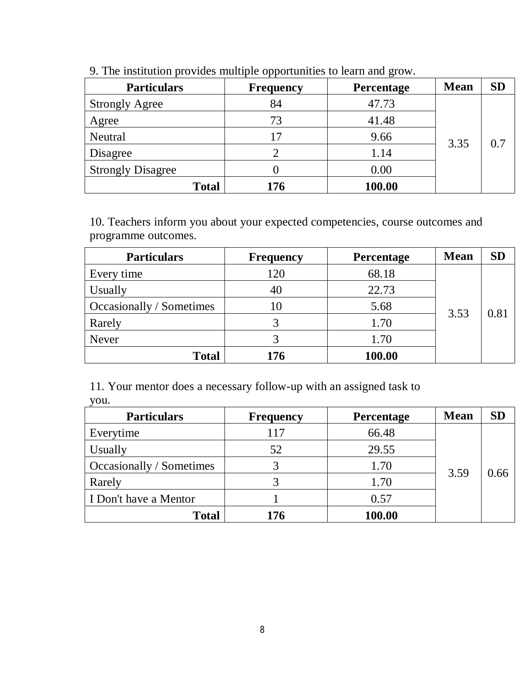| <b>Particulars</b>       | <b>Frequency</b> | Percentage | <b>Mean</b> | <b>SD</b> |
|--------------------------|------------------|------------|-------------|-----------|
| <b>Strongly Agree</b>    | 84               | 47.73      |             |           |
| Agree                    | 73               | 41.48      | 3.35        |           |
| <b>Neutral</b>           |                  | 9.66       |             | 0.7       |
| Disagree                 |                  | 1.14       |             |           |
| <b>Strongly Disagree</b> |                  | 0.00       |             |           |
| <b>Total</b>             | 176              | 100.00     |             |           |

9. The institution provides multiple opportunities to learn and grow.

10. Teachers inform you about your expected competencies, course outcomes and programme outcomes.

| <b>Particulars</b>       | <b>Frequency</b> | Percentage | <b>Mean</b> | <b>SD</b> |
|--------------------------|------------------|------------|-------------|-----------|
| Every time               | 120              | 68.18      |             |           |
| Usually                  |                  | 22.73      | 3.53        |           |
| Occasionally / Sometimes |                  | 5.68       |             | 0.81      |
| Rarely                   |                  | 1.70       |             |           |
| <b>Never</b>             |                  | 1.70       |             |           |
| <b>Total</b>             | 176              | 100.00     |             |           |

11. Your mentor does a necessary follow-up with an assigned task to you.

| <b>Particulars</b>       | <b>Frequency</b> | <b>Percentage</b> | <b>Mean</b> | <b>SD</b> |
|--------------------------|------------------|-------------------|-------------|-----------|
| Everytime                | 117              | 66.48             |             |           |
| Usually                  | 52               | 29.55             |             | 0.66      |
| Occasionally / Sometimes |                  | 1.70              | 3.59        |           |
| Rarely                   |                  | 1.70              |             |           |
| I Don't have a Mentor    |                  | 0.57              |             |           |
| <b>Total</b>             | 176              | 100.00            |             |           |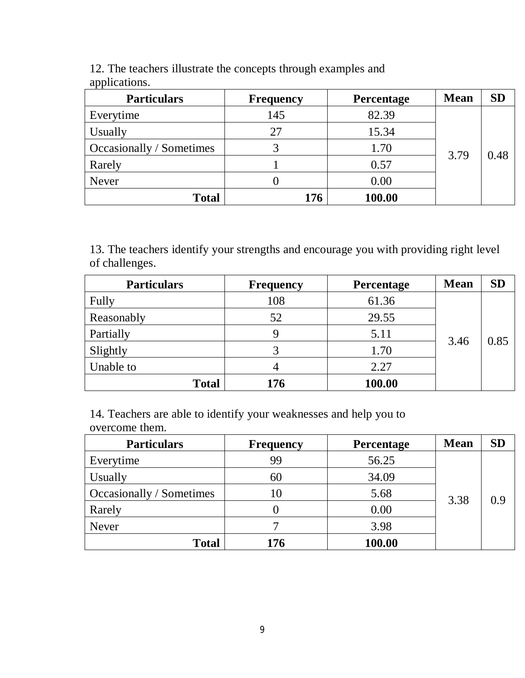| <b>Particulars</b>       | <b>Frequency</b> | Percentage | <b>Mean</b> | <b>SD</b> |
|--------------------------|------------------|------------|-------------|-----------|
| Everytime                | 145              | 82.39      | 3.79        | 0.48      |
| Usually                  | 27               | 15.34      |             |           |
| Occasionally / Sometimes | 2                | 1.70       |             |           |
| Rarely                   |                  | 0.57       |             |           |
| Never                    |                  | 0.00       |             |           |
| <b>Total</b>             | 176              | 100.00     |             |           |

12. The teachers illustrate the concepts through examples and applications.

13. The teachers identify your strengths and encourage you with providing right level of challenges.

| <b>Particulars</b> | <b>Frequency</b> | Percentage | <b>Mean</b> | <b>SD</b> |
|--------------------|------------------|------------|-------------|-----------|
| Fully              | 108              | 61.36      | 3.46        | 0.85      |
| Reasonably         | 52               | 29.55      |             |           |
| Partially          | Q                | 5.11       |             |           |
| Slightly           |                  | 1.70       |             |           |
| Unable to          |                  | 2.27       |             |           |
| <b>Total</b>       | 176              | 100.00     |             |           |

14. Teachers are able to identify your weaknesses and help you to overcome them.

| <b>Particulars</b>       | <b>Frequency</b> | Percentage | <b>Mean</b> | <b>SD</b> |
|--------------------------|------------------|------------|-------------|-----------|
| Everytime                | 99               | 56.25      | 3.38        |           |
| Usually                  | 60               | 34.09      |             | 0.9       |
| Occasionally / Sometimes |                  | 5.68       |             |           |
| Rarely                   |                  | 0.00       |             |           |
| Never                    |                  | 3.98       |             |           |
| <b>Total</b>             | 176              | 100.00     |             |           |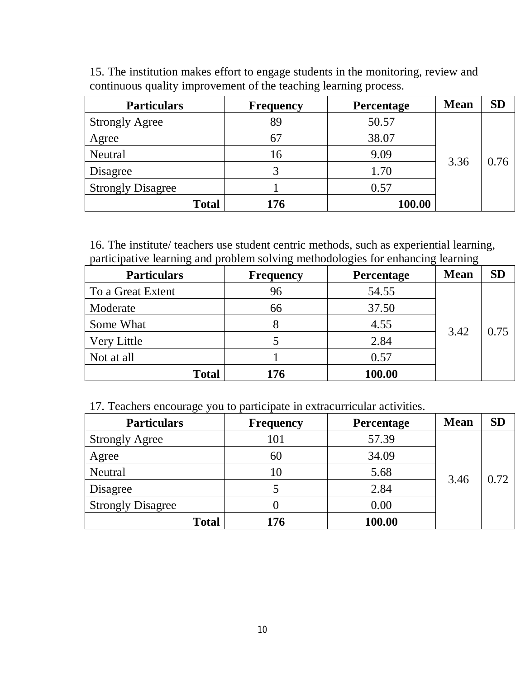| <b>Particulars</b>       | <b>Frequency</b> | <b>Percentage</b> | <b>Mean</b> | <b>SD</b> |
|--------------------------|------------------|-------------------|-------------|-----------|
| <b>Strongly Agree</b>    | 89               | 50.57             |             |           |
| Agree                    |                  | 38.07             |             | 0.76      |
| Neutral                  | 16               | 9.09              |             |           |
| Disagree                 |                  | 1.70              | 3.36        |           |
| <b>Strongly Disagree</b> |                  | 0.57              |             |           |
| <b>Total</b>             | 176              | 100.00            |             |           |

15. The institution makes effort to engage students in the monitoring, review and continuous quality improvement of the teaching learning process.

16. The institute/ teachers use student centric methods, such as experiential learning, participative learning and problem solving methodologies for enhancing learning

| <b>Particulars</b> | <b>Frequency</b> | <b>Percentage</b> | <b>Mean</b> | SD   |
|--------------------|------------------|-------------------|-------------|------|
| To a Great Extent  | 96               | 54.55             |             | 0.75 |
| Moderate           | 66               | 37.50             | 3.42        |      |
| Some What          |                  | 4.55              |             |      |
| Very Little        |                  | 2.84              |             |      |
| Not at all         |                  | 0.57              |             |      |
| <b>Total</b>       | 176              | 100.00            |             |      |

17. Teachers encourage you to participate in extracurricular activities.

| <b>Particulars</b>       | <b>Frequency</b> | <b>Percentage</b> | <b>Mean</b> | <b>SD</b> |
|--------------------------|------------------|-------------------|-------------|-----------|
| <b>Strongly Agree</b>    | 101              | 57.39             |             |           |
| Agree                    | 60               | 34.09             | 3.46        | 0.72      |
| Neutral                  |                  | 5.68              |             |           |
| Disagree                 |                  | 2.84              |             |           |
| <b>Strongly Disagree</b> |                  | 0.00              |             |           |
| <b>Total</b>             | 176              | 100.00            |             |           |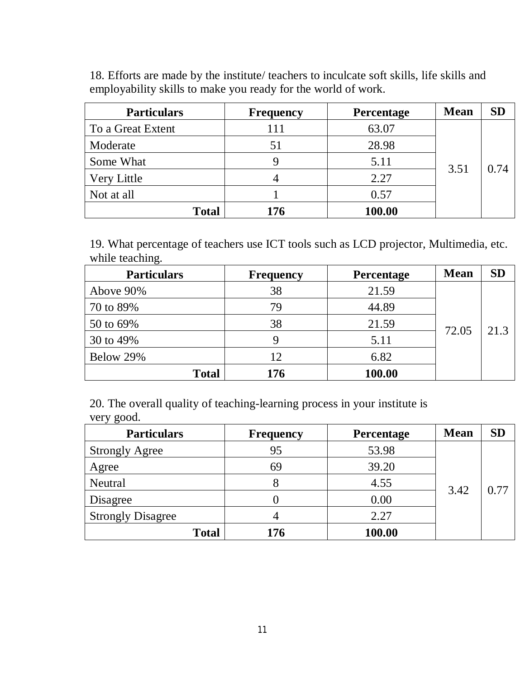18. Efforts are made by the institute/ teachers to inculcate soft skills, life skills and employability skills to make you ready for the world of work.

| <b>Particulars</b> | <b>Frequency</b> | Percentage | <b>Mean</b> | <b>SD</b> |
|--------------------|------------------|------------|-------------|-----------|
| To a Great Extent  | 111              | 63.07      |             |           |
| Moderate           | 51               | 28.98      | 3.51        | 0.74      |
| Some What          |                  | 5.11       |             |           |
| Very Little        |                  | 2.27       |             |           |
| Not at all         |                  | 0.57       |             |           |
| <b>Total</b>       | 176              | 100.00     |             |           |

19. What percentage of teachers use ICT tools such as LCD projector, Multimedia, etc. while teaching.

| <b>Particulars</b> | <b>Frequency</b> | <b>Percentage</b> | <b>Mean</b> | <b>SD</b> |
|--------------------|------------------|-------------------|-------------|-----------|
| Above 90%          | 38               | 21.59             |             | 21.3      |
| 70 to 89%          | 79               | 44.89             | 72.05       |           |
| 50 to 69%          | 38               | 21.59             |             |           |
| 30 to 49%          | Q                | 5.11              |             |           |
| Below 29%          | 12               | 6.82              |             |           |
| <b>Total</b>       | 176              | 100.00            |             |           |

20. The overall quality of teaching-learning process in your institute is very good.

| <b>Particulars</b>       | <b>Frequency</b> | <b>Percentage</b> | <b>Mean</b> | <b>SD</b> |
|--------------------------|------------------|-------------------|-------------|-----------|
| <b>Strongly Agree</b>    | 95               | 53.98             | 3.42        |           |
| Agree                    | 69               | 39.20             |             | 0.77      |
| Neutral                  |                  | 4.55              |             |           |
| Disagree                 |                  | 0.00              |             |           |
| <b>Strongly Disagree</b> |                  | 2.27              |             |           |
| <b>Total</b>             | 176              | 100.00            |             |           |